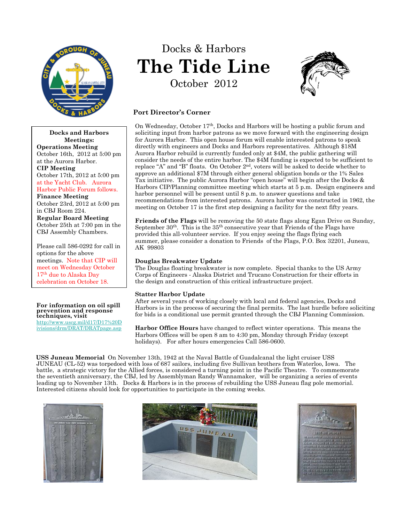

**Docks and Harbors Meetings:**

Docks & Harbors **The Tide Line** October 2012



# **Port Director's Corner**

On Wednesday, October  $17<sup>th</sup>$ , Docks and Harbors will be hosting a public forum and soliciting input from harbor patrons as we move forward with the engineering design for Aurora Harbor. This open house forum will enable interested patrons to speak directly with engineers and Docks and Harbors representatives. Although \$18M Aurora Harbor rebuild is currently funded only at \$4M, the public gathering will consider the needs of the entire harbor. The \$4M funding is expected to be sufficient to replace "A" and "B" floats. On October  $2<sup>nd</sup>$ , voters will be asked to decide whether to approve an additional \$7M through either general obligation bonds or the 1% Sales Tax initiative. The public Aurora Harbor "open house" will begin after the Docks & Harbors CIP/Planning committee meeting which starts at 5 p.m. Design engineers and harbor personnel will be present until 8 p.m. to answer questions and take recommendations from interested patrons. Aurora harbor was constructed in 1962, the meeting on October 17 is the first step designing a facility for the next fifty years.

**Friends of the Flags** will be removing the 50 state flags along Egan Drive on Sunday, September  $30<sup>th</sup>$ . This is the  $35<sup>th</sup>$  consecutive year that Friends of the Flags have provided this all-volunteer service. If you enjoy seeing the flags flying each summer, please consider a donation to Friends of the Flags, P.O. Box 32201, Juneau, AK 99803

# **Douglas Breakwater Update**

The Douglas floating breakwater is now complete. Special thanks to the US Army Corps of Engineers - Alaska District and Trucano Construction for their efforts in the design and construction of this critical infrastructure project.

# **Statter Harbor Update**

After several years of working closely with local and federal agencies, Docks and Harbors is in the process of securing the final permits. The last hurdle before soliciting for bids is a conditional use permit granted through the CBJ Planning Commission.

**Harbor Office Hours** have changed to reflect winter operations. This means the Harbors Offices will be open 8 am to 4:30 pm, Monday through Friday (except holidays). For after hours emergencies Call 586-0600.

**USS Juneau Memorial** On November 13th, 1942 at the Naval Battle of Guadalcanal the light cruiser USS JUNEAU (CL-52) was torpedoed with loss of 687 sailors, including five Sullivan brothers from Waterloo, Iowa. The battle, a strategic victory for the Allied forces, is considered a turning point in the Pacific Theatre. To commemorate the seventieth anniversary, the CBJ, led by Assemblyman Randy Wannamaker, will be organizing a series of events leading up to November 13th. Docks & Harbors is in the process of rebuilding the USS Juneau flag pole memorial. Interested citizens should look for opportunities to participate in the coming weeks.







**Operations Meeting** October 16th, 2012 at 5:00 pm at the Aurora Harbor. **CIP Meeting** October 17th, 2012 at 5:00 pm at the Yacht Club. Aurora Harbor Public Forum follows. **Finance Meeting** October 23rd, 2012 at 5:00 pm in CBJ Room 224. **Regular Board Meeting** October 25th at 7:00 pm in the CBJ Assembly Chambers.

Please call 586-0292 for call in options for the above meetings. Note that CIP will meet on Wednesday October 17<sup>th</sup> due to Alaska Day celebration on October 18.

#### **For information on oil spill prevention and response techniques, visit**

http://www.uscg.mil/d17/D17%20D ivisions/drm/DRAT/DRATpage.asp